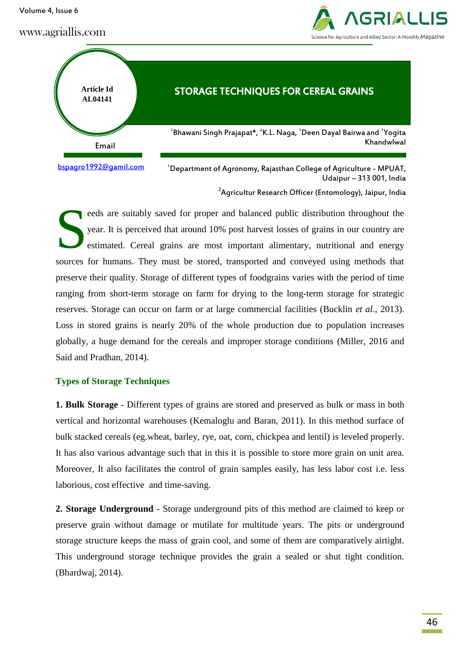Volume 4, Issue 6

## www.agriallis.com



Khandwlwal

# **Article Id AL04141** STORAGE TECHNIQUES FOR CEREAL GRAINS Email  $^{\rm 1}$ Bhawani Singh Prajapat\*,  $^{\rm 2}$ K.L. Naga,  $^{\rm 1}$ Deen Dayal Bairwa and  $^{\rm 1}$ Yogita [bspagro1992@gamil.com](mailto:bspagro1992@gamil.com)

 $1$ Department of Agronomy, Rajasthan College of Agriculture - MPUAT, Udaipur – 313 001, India

 $^{2}$ Agricultur Research Officer (Entomology), Jaipur, India

eeds are suitably saved for proper and balanced public distribution throughout the year. It is perceived that around 10% post harvest losses of grains in our country are estimated. Cereal grains are most important alimentary, nutritional and energy sources for humans. They must be stored, transported and conveyed using methods that preserve their quality. Storage of different types of foodgrains varies with the period of time ranging from short-term storage on farm for drying to the long-term storage for strategic reserves. Storage can occur on farm or at large commercial facilities (Bucklin *et al*., 2013). Loss in stored grains is nearly 20% of the whole production due to population increases globally, a huge demand for the cereals and improper storage conditions (Miller, 2016 and Said and Pradhan, 2014). S

#### **Types of Storage Techniques**

**1. Bulk Storage** - Different types of grains are stored and preserved as bulk or mass in both vertical and horizontal warehouses (Kemaloglu and Baran, 2011). In this method surface of bulk stacked cereals (eg.wheat, barley, rye, oat, corn, chickpea and lentil) is leveled properly. It has also various advantage such that in this it is possible to store more grain on unit area. Moreover, It also facilitates the control of grain samples easily, has less labor cost i.e. less laborious, cost effective and time-saving.

**2. Storage Underground** - Storage underground pits of this method are claimed to keep or preserve grain without damage or mutilate for multitude years. The pits or underground storage structure keeps the mass of grain cool, and some of them are comparatively airtight. This underground storage technique provides the grain a sealed or shut tight condition. (Bhardwaj, 2014).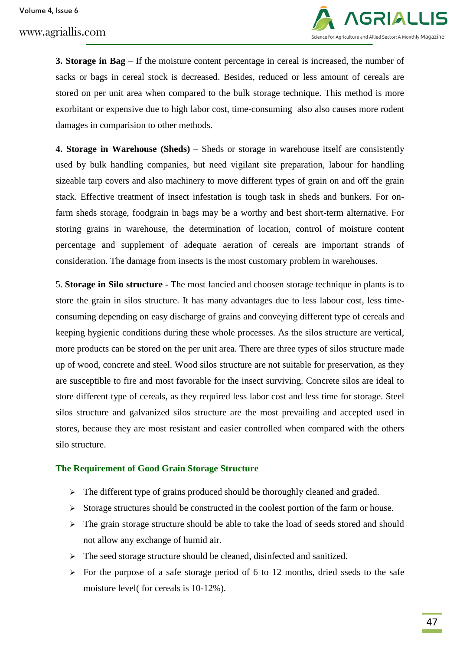Volume 4, Issue 6

www.agriallis.com



**3. Storage in Bag** – If the moisture content percentage in cereal is increased, the number of sacks or bags in cereal stock is decreased. Besides, reduced or less amount of cereals are stored on per unit area when compared to the bulk storage technique. This method is more exorbitant or expensive due to high labor cost, time-consuming also also causes more rodent damages in comparision to other methods.

**4. Storage in Warehouse (Sheds)** – Sheds or storage in warehouse itself are consistently used by bulk handling companies, but need vigilant site preparation, labour for handling sizeable tarp covers and also machinery to move different types of grain on and off the grain stack. Effective treatment of insect infestation is tough task in sheds and bunkers. For onfarm sheds storage, foodgrain in bags may be a worthy and best short-term alternative. For storing grains in warehouse, the determination of location, control of moisture content percentage and supplement of adequate aeration of cereals are important strands of consideration. The damage from insects is the most customary problem in warehouses.

5. **Storage in Silo structure** - The most fancied and choosen storage technique in plants is to store the grain in silos structure. It has many advantages due to less labour cost, less timeconsuming depending on easy discharge of grains and conveying different type of cereals and keeping hygienic conditions during these whole processes. As the silos structure are vertical, more products can be stored on the per unit area. There are three types of silos structure made up of wood, concrete and steel. Wood silos structure are not suitable for preservation, as they are susceptible to fire and most favorable for the insect surviving. Concrete silos are ideal to store different type of cereals, as they required less labor cost and less time for storage. Steel silos structure and galvanized silos structure are the most prevailing and accepted used in stores, because they are most resistant and easier controlled when compared with the others silo structure.

#### **The Requirement of Good Grain Storage Structure**

- $\triangleright$  The different type of grains produced should be thoroughly cleaned and graded.
- $\triangleright$  Storage structures should be constructed in the coolest portion of the farm or house.
- $\triangleright$  The grain storage structure should be able to take the load of seeds stored and should not allow any exchange of humid air.
- $\triangleright$  The seed storage structure should be cleaned, disinfected and sanitized.
- $\triangleright$  For the purpose of a safe storage period of 6 to 12 months, dried sseds to the safe moisture level( for cereals is 10-12%).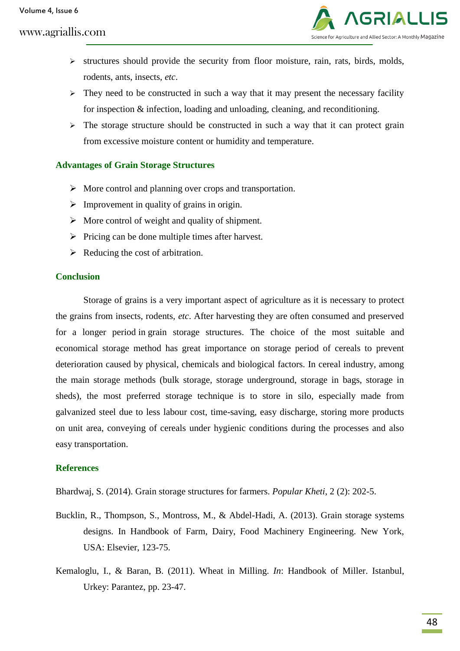# www.agriallis.com



- $\triangleright$  structures should provide the security from floor moisture, rain, rats, birds, molds, rodents, ants, insects, *etc*.
- $\triangleright$  They need to be constructed in such a way that it may present the necessary facility for inspection & infection, loading and unloading, cleaning, and reconditioning.
- $\triangleright$  The storage structure should be constructed in such a way that it can protect grain from excessive moisture content or humidity and temperature.

## **Advantages of Grain Storage Structures**

- $\triangleright$  More control and planning over crops and transportation.
- $\triangleright$  Improvement in quality of grains in origin.
- $\triangleright$  More control of weight and quality of shipment.
- $\triangleright$  Pricing can be done multiple times after harvest.
- $\triangleright$  Reducing the cost of arbitration.

## **Conclusion**

Storage of grains is a very important aspect of agriculture as it is necessary to protect the grains from insects, rodents, *etc*. After harvesting they are often consumed and preserved for a longer period in grain storage structures. The choice of the most suitable and economical storage method has great importance on storage period of cereals to prevent deterioration caused by physical, chemicals and biological factors. In cereal industry, among the main storage methods (bulk storage, storage underground, storage in bags, storage in sheds), the most preferred storage technique is to store in silo, especially made from galvanized steel due to less labour cost, time-saving, easy discharge, storing more products on unit area, conveying of cereals under hygienic conditions during the processes and also easy transportation.

# **References**

Bhardwaj, S. (2014). Grain storage structures for farmers. *Popular Kheti*, 2 (2): 202-5.

- Bucklin, R., Thompson, S., Montross, M., & Abdel-Hadi, A. (2013). Grain storage systems designs. In Handbook of Farm, Dairy, Food Machinery Engineering. New York, USA: Elsevier, 123-75.
- Kemaloglu, I., & Baran, B. (2011). Wheat in Milling. *In*: Handbook of Miller. Istanbul, Urkey: Parantez, pp. 23-47.